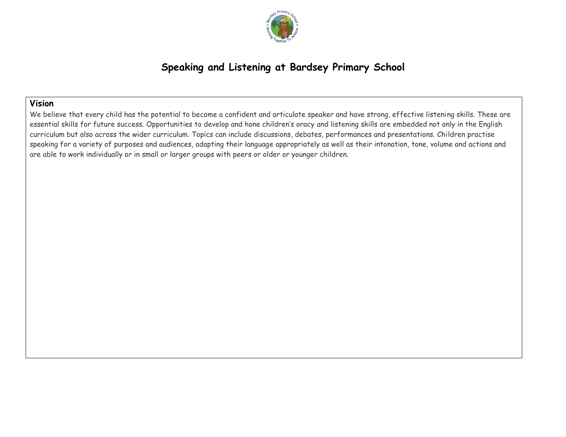

# **Speaking and Listening at Bardsey Primary School**

### **Vision**

We believe that every child has the potential to become a confident and articulate speaker and have strong, effective listening skills. These are essential skills for future success. Opportunities to develop and hone children's oracy and listening skills are embedded not only in the English curriculum but also across the wider curriculum. Topics can include discussions, debates, performances and presentations. Children practise speaking for a variety of purposes and audiences, adapting their language appropriately as well as their intonation, tone, volume and actions and are able to work individually or in small or larger groups with peers or older or younger children.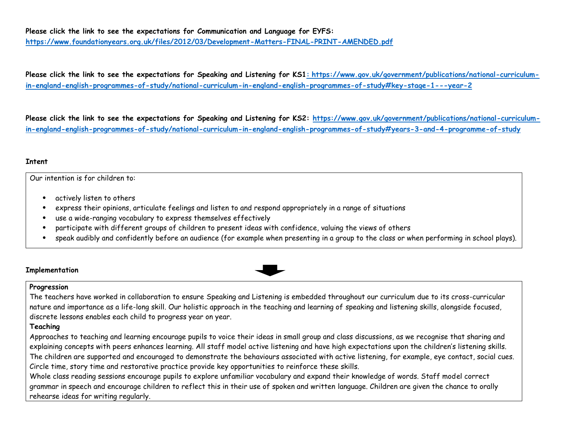#### **Please click the link to see the expectations for Communication and Language for EYFS: <https://www.foundationyears.org.uk/files/2012/03/Development-Matters-FINAL-PRINT-AMENDED.pdf>**

**Please click the link to see the expectations for Speaking and Listening for KS1: [https://www.gov.uk/government/publications/national-curriculum](https://www.gov.uk/government/publications/national-curriculum-in-england-english-programmes-of-study/national-curriculum-in-england-english-programmes-of-study#key-stage-1---year-2)[in-england-english-programmes-of-study/national-curriculum-in-england-english-programmes-of-study#key-stage-1---year-2](https://www.gov.uk/government/publications/national-curriculum-in-england-english-programmes-of-study/national-curriculum-in-england-english-programmes-of-study#key-stage-1---year-2)**

**Please click the link to see the expectations for Speaking and Listening for KS2: [https://www.gov.uk/government/publications/national-curriculum](https://www.gov.uk/government/publications/national-curriculum-in-england-english-programmes-of-study/national-curriculum-in-england-english-programmes-of-study#years-3-and-4-programme-of-study)[in-england-english-programmes-of-study/national-curriculum-in-england-english-programmes-of-study#years-3-and-4-programme-of-study](https://www.gov.uk/government/publications/national-curriculum-in-england-english-programmes-of-study/national-curriculum-in-england-english-programmes-of-study#years-3-and-4-programme-of-study)**

#### **Intent**

Our intention is for children to:

- actively listen to others
- express their opinions, articulate feelings and listen to and respond appropriately in a range of situations
- use a wide-ranging vocabulary to express themselves effectively
- participate with different groups of children to present ideas with confidence, valuing the views of others
- speak audibly and confidently before an audience (for example when presenting in a group to the class or when performing in school plays).

#### **Implementation**

#### **Progression**

The teachers have worked in collaboration to ensure Speaking and Listening is embedded throughout our curriculum due to its cross-curricular nature and importance as a life-long skill. Our holistic approach in the teaching and learning of speaking and listening skills, alongside focused, discrete lessons enables each child to progress year on year.

#### **Teaching**

Approaches to teaching and learning encourage pupils to voice their ideas in small group and class discussions, as we recognise that sharing and explaining concepts with peers enhances learning. All staff model active listening and have high expectations upon the children's listening skills. The children are supported and encouraged to demonstrate the behaviours associated with active listening, for example, eye contact, social cues. Circle time, story time and restorative practice provide key opportunities to reinforce these skills.

Whole class reading sessions encourage pupils to explore unfamiliar vocabulary and expand their knowledge of words. Staff model correct grammar in speech and encourage children to reflect this in their use of spoken and written language. Children are given the chance to orally rehearse ideas for writing regularly.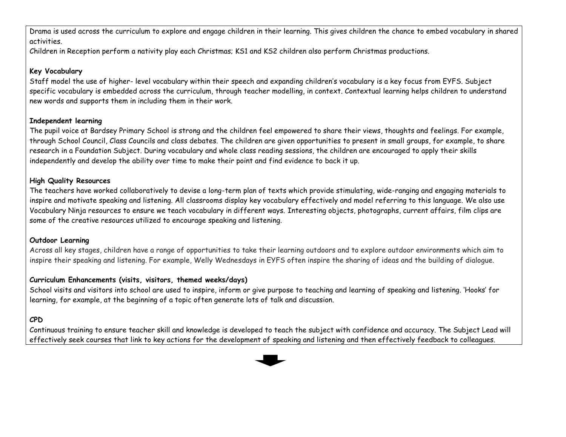Drama is used across the curriculum to explore and engage children in their learning. This gives children the chance to embed vocabulary in shared activities.

Children in Reception perform a nativity play each Christmas; KS1 and KS2 children also perform Christmas productions.

### **Key Vocabulary**

Staff model the use of higher- level vocabulary within their speech and expanding children's vocabulary is a key focus from EYFS. Subject specific vocabulary is embedded across the curriculum, through teacher modelling, in context. Contextual learning helps children to understand new words and supports them in including them in their work.

### **Independent learning**

The pupil voice at Bardsey Primary School is strong and the children feel empowered to share their views, thoughts and feelings. For example, through School Council, Class Councils and class debates. The children are given opportunities to present in small groups, for example, to share research in a Foundation Subject. During vocabulary and whole class reading sessions, the children are encouraged to apply their skills independently and develop the ability over time to make their point and find evidence to back it up.

## **High Quality Resources**

The teachers have worked collaboratively to devise a long-term plan of texts which provide stimulating, wide-ranging and engaging materials to inspire and motivate speaking and listening. All classrooms display key vocabulary effectively and model referring to this language. We also use Vocabulary Ninja resources to ensure we teach vocabulary in different ways. Interesting objects, photographs, current affairs, film clips are some of the creative resources utilized to encourage speaking and listening.

## **Outdoor Learning**

Across all key stages, children have a range of opportunities to take their learning outdoors and to explore outdoor environments which aim to inspire their speaking and listening. For example, Welly Wednesdays in EYFS often inspire the sharing of ideas and the building of dialogue.

## **Curriculum Enhancements (visits, visitors, themed weeks/days)**

School visits and visitors into school are used to inspire, inform or give purpose to teaching and learning of speaking and listening. 'Hooks' for learning, for example, at the beginning of a topic often generate lots of talk and discussion.

# **CPD**

Continuous training to ensure teacher skill and knowledge is developed to teach the subject with confidence and accuracy. The Subject Lead will effectively seek courses that link to key actions for the development of speaking and listening and then effectively feedback to colleagues.

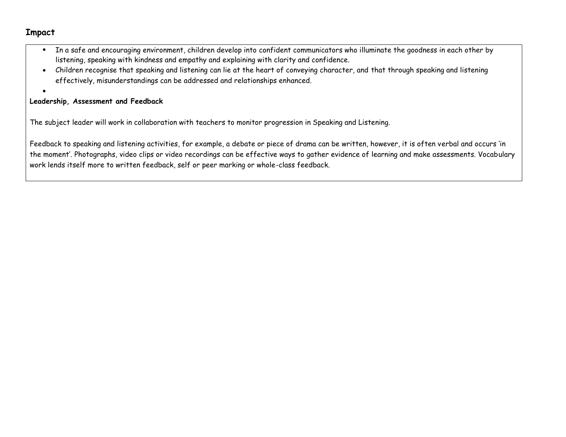### **Impact**

- In a safe and encouraging environment, children develop into confident communicators who illuminate the goodness in each other by listening, speaking with kindness and empathy and explaining with clarity and confidence.
- Children recognise that speaking and listening can lie at the heart of conveying character, and that through speaking and listening effectively, misunderstandings can be addressed and relationships enhanced.
- •

#### **Leadership, Assessment and Feedback**

The subject leader will work in collaboration with teachers to monitor progression in Speaking and Listening.

Feedback to speaking and listening activities, for example, a debate or piece of drama can be written, however, it is often verbal and occurs 'in the moment'. Photographs, video clips or video recordings can be effective ways to gather evidence of learning and make assessments. Vocabulary work lends itself more to written feedback, self or peer marking or whole-class feedback.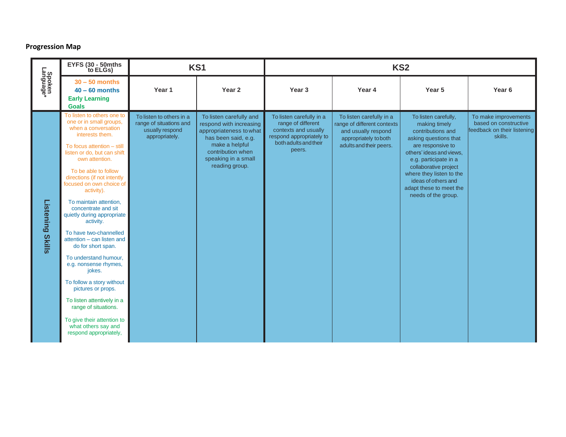#### **Progression Map**

|                                   | EYFS (30 - 50mths<br>to ELGs)                                                                                                                                                                                                                                                                                                                                                                                                                                                                                                                                                                                                                                                                                 | KS1                                                                                      |                                                                                                                                                                                      | KS <sub>2</sub>                                                                                                                       |                                                                                                                                    |                                                                                                                                                                                                                                                                                             |                                                                                         |
|-----------------------------------|---------------------------------------------------------------------------------------------------------------------------------------------------------------------------------------------------------------------------------------------------------------------------------------------------------------------------------------------------------------------------------------------------------------------------------------------------------------------------------------------------------------------------------------------------------------------------------------------------------------------------------------------------------------------------------------------------------------|------------------------------------------------------------------------------------------|--------------------------------------------------------------------------------------------------------------------------------------------------------------------------------------|---------------------------------------------------------------------------------------------------------------------------------------|------------------------------------------------------------------------------------------------------------------------------------|---------------------------------------------------------------------------------------------------------------------------------------------------------------------------------------------------------------------------------------------------------------------------------------------|-----------------------------------------------------------------------------------------|
| Spoken<br>Language*               | $30 - 50$ months<br>$40 - 60$ months<br><b>Early Learning</b><br><b>Goals</b>                                                                                                                                                                                                                                                                                                                                                                                                                                                                                                                                                                                                                                 | Year 1                                                                                   | Year <sub>2</sub>                                                                                                                                                                    | Year <sub>3</sub>                                                                                                                     | Year 4                                                                                                                             | Year <sub>5</sub>                                                                                                                                                                                                                                                                           | Year <sub>6</sub>                                                                       |
| <b>Listening</b><br><b>Skills</b> | To listen to others one to<br>one or in small groups,<br>when a conversation<br>interests them.<br>To focus attention - still<br>listen or do, but can shift<br>own attention.<br>To be able to follow<br>directions (if not intently<br>focused on own choice of<br>activity).<br>To maintain attention,<br>concentrate and sit<br>quietly during appropriate<br>activity.<br>To have two-channelled<br>attention - can listen and<br>do for short span.<br>To understand humour.<br>e.g. nonsense rhymes,<br>jokes.<br>To follow a story without<br>pictures or props.<br>To listen attentively in a<br>range of situations.<br>To give their attention to<br>what others say and<br>respond appropriately, | To listen to others in a<br>range of situations and<br>usually respond<br>appropriately. | To listen carefully and<br>respond with increasing<br>appropriateness to what<br>has been said, e.g.<br>make a helpful<br>contribution when<br>speaking in a small<br>reading group. | To listen carefully in a<br>range of different<br>contexts and usually<br>respond appropriately to<br>both adults and their<br>peers. | To listen carefully in a<br>range of different contexts<br>and usually respond<br>appropriately to both<br>adults and their peers. | To listen carefully,<br>making timely<br>contributions and<br>asking questions that<br>are responsive to<br>others' ideas and views,<br>e.g. participate in a<br>collaborative project<br>where they listen to the<br>ideas of others and<br>adapt these to meet the<br>needs of the group. | To make improvements<br>based on constructive<br>feedback on their listening<br>skills. |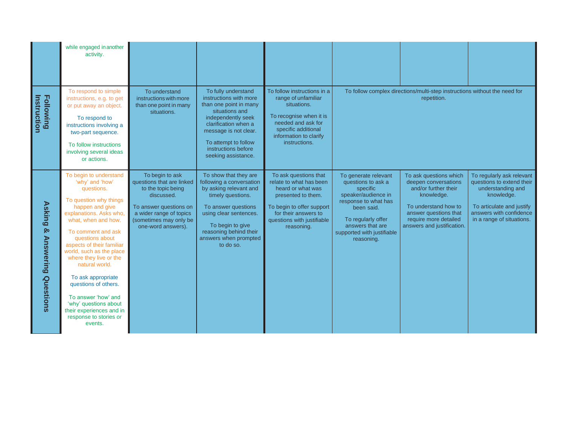|                                                       | while engaged in another<br>activity.                                                                                                                                                                                                                                                                                                                                                                                                                               |                                                                                                                                                                                       |                                                                                                                                                                                                                                        |                                                                                                                                                                                              |                                                                                                                                                                                                           |                                                                                                                                                                                              |                                                                                                                                                                                |
|-------------------------------------------------------|---------------------------------------------------------------------------------------------------------------------------------------------------------------------------------------------------------------------------------------------------------------------------------------------------------------------------------------------------------------------------------------------------------------------------------------------------------------------|---------------------------------------------------------------------------------------------------------------------------------------------------------------------------------------|----------------------------------------------------------------------------------------------------------------------------------------------------------------------------------------------------------------------------------------|----------------------------------------------------------------------------------------------------------------------------------------------------------------------------------------------|-----------------------------------------------------------------------------------------------------------------------------------------------------------------------------------------------------------|----------------------------------------------------------------------------------------------------------------------------------------------------------------------------------------------|--------------------------------------------------------------------------------------------------------------------------------------------------------------------------------|
| <b>Following</b><br>Instruction                       | To respond to simple<br>instructions, e.g. to get<br>or put away an object.<br>To respond to<br>instructions involving a<br>two-part sequence.<br>To follow instructions<br>involving several ideas<br>or actions.                                                                                                                                                                                                                                                  | To understand<br>instructions with more<br>than one point in many<br>situations.                                                                                                      | To fully understand<br>instructions with more<br>than one point in many<br>situations and<br>independently seek<br>clarification when a<br>message is not clear.<br>To attempt to follow<br>instructions before<br>seeking assistance. | To follow instructions in a<br>range of unfamiliar<br>situations.<br>To recognise when it is<br>needed and ask for<br>specific additional<br>information to clarify<br>instructions.         |                                                                                                                                                                                                           | To follow complex directions/multi-step instructions without the need for<br>repetition.                                                                                                     |                                                                                                                                                                                |
| <b>Asking</b><br>ନ୍ତ<br><b>Answering</b><br>Questions | To begin to understand<br>'why' and 'how'<br>questions.<br>To question why things<br>happen and give<br>explanations. Asks who,<br>what, when and how.<br>To comment and ask<br>questions about<br>aspects of their familiar<br>world, such as the place<br>where they live or the<br>natural world.<br>To ask appropriate<br>questions of others.<br>To answer 'how' and<br>'why' questions about<br>their experiences and in<br>response to stories or<br>events. | To begin to ask<br>questions that are linked<br>to the topic being<br>discussed.<br>To answer questions on<br>a wider range of topics<br>(sometimes may only be<br>one-word answers). | To show that they are<br>following a conversation<br>by asking relevant and<br>timely questions.<br>To answer questions<br>using clear sentences.<br>To begin to give<br>reasoning behind their<br>answers when prompted<br>to do so.  | To ask questions that<br>relate to what has been<br>heard or what was<br>presented to them.<br>To begin to offer support<br>for their answers to<br>questions with justifiable<br>reasoning. | To generate relevant<br>questions to ask a<br>specific<br>speaker/audience in<br>response to what has<br>been said.<br>To regularly offer<br>answers that are<br>supported with justifiable<br>reasoning. | To ask questions which<br>deepen conversations<br>and/or further their<br>knowledge.<br>To understand how to<br>answer questions that<br>require more detailed<br>answers and justification. | To regularly ask relevant<br>questions to extend their<br>understanding and<br>knowledge.<br>To articulate and justify<br>answers with confidence<br>in a range of situations. |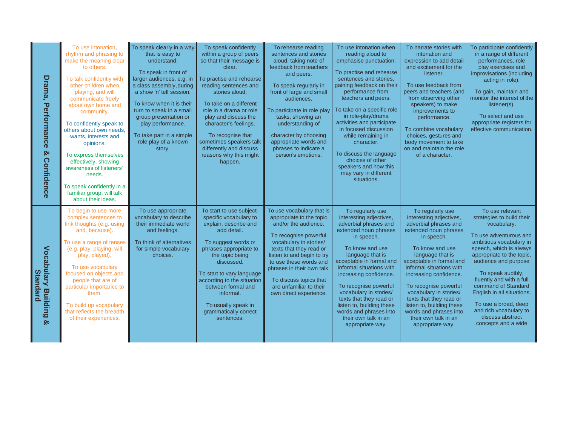| Drama,<br>Performance<br>Q٥<br>Confidence                 | To use intonation.<br>rhythm and phrasing to<br>make the meaning clear<br>to others.<br>To talk confidently with<br>other children when<br>playing, and will<br>communicate freely<br>about own home and<br>community.<br>To confidently speak to<br>others about own needs.<br>wants, interests and<br>opinions.<br>To express themselves<br>effectively, showing<br>awareness of listeners'<br>needs.<br>To speak confidently in a<br>familiar group, will talk<br>about their ideas. | To speak clearly in a way<br>that is easy to<br>understand.<br>To speak in front of<br>larger audiences, e.g. in<br>a class assembly, during<br>a show 'n' tell session.<br>To know when it is their<br>turn to speak in a small<br>group presentation or<br>play performance.<br>To take part in a simple<br>role play of a known<br>story. | To speak confidently<br>within a group of peers<br>so that their message is<br>clear.<br>To practise and rehearse<br>reading sentences and<br>stories aloud.<br>To take on a different<br>role in a drama or role<br>play and discuss the<br>character's feelings.<br>To recognise that<br>sometimes speakers talk<br>differently and discuss<br>reasons why this might<br>happen. | To rehearse reading<br>sentences and stories<br>aloud, taking note of<br>feedback from teachers<br>and peers.<br>To speak regularly in<br>front of large and small<br>audiences.<br>To participate in role play<br>tasks, showing an<br>understanding of<br>character by choosing<br>appropriate words and<br>phrases to indicate a<br>person's emotions. | To use intonation when<br>reading aloud to<br>emphasise punctuation.<br>To practise and rehearse<br>sentences and stories.<br>gaining feedback on their<br>performance from<br>teachers and peers.<br>To take on a specific role<br>in role-play/drama<br>activities and participate<br>in focused discussion<br>while remaining in<br>character.<br>To discuss the language<br>choices of other<br>speakers and how this<br>may vary in different<br>situations. | To narrate stories with<br>intonation and<br>expression to add detail<br>and excitement for the<br>listener.<br>To use feedback from<br>peers and teachers (and<br>from observing other<br>speakers) to make<br>improvements to<br>performance.<br>To combine vocabulary<br>choices, gestures and<br>body movement to take<br>on and maintain the role<br>of a character.                                             | To participate confidently<br>in a range of different<br>performances, role<br>play exercises and<br>improvisations (including<br>acting in role).<br>To gain, maintain and<br>monitor the interest of the<br>listener(s).<br>To select and use<br>appropriate registers for<br>effective communication.                                                                                            |
|-----------------------------------------------------------|-----------------------------------------------------------------------------------------------------------------------------------------------------------------------------------------------------------------------------------------------------------------------------------------------------------------------------------------------------------------------------------------------------------------------------------------------------------------------------------------|----------------------------------------------------------------------------------------------------------------------------------------------------------------------------------------------------------------------------------------------------------------------------------------------------------------------------------------------|------------------------------------------------------------------------------------------------------------------------------------------------------------------------------------------------------------------------------------------------------------------------------------------------------------------------------------------------------------------------------------|-----------------------------------------------------------------------------------------------------------------------------------------------------------------------------------------------------------------------------------------------------------------------------------------------------------------------------------------------------------|-------------------------------------------------------------------------------------------------------------------------------------------------------------------------------------------------------------------------------------------------------------------------------------------------------------------------------------------------------------------------------------------------------------------------------------------------------------------|-----------------------------------------------------------------------------------------------------------------------------------------------------------------------------------------------------------------------------------------------------------------------------------------------------------------------------------------------------------------------------------------------------------------------|-----------------------------------------------------------------------------------------------------------------------------------------------------------------------------------------------------------------------------------------------------------------------------------------------------------------------------------------------------------------------------------------------------|
| <b>Vocabulary Building</b><br><b>Standard</b><br><b>O</b> | To begin to use more<br>complex sentences to<br>link thoughts (e.g. using<br>and, because).<br>To use a range of tenses<br>(e.g. play, playing, will<br>play, played).<br>To use vocabulary<br>focused on objects and<br>people that are of<br>particular importance to<br>them.<br>To build up vocabulary<br>that reflects the breadth<br>of their experiences.                                                                                                                        | To use appropriate<br>vocabulary to describe<br>their immediate world<br>and feelings.<br>To think of alternatives<br>for simple vocabulary<br>choices.                                                                                                                                                                                      | To start to use subject-<br>specific vocabulary to<br>explain, describe and<br>add detail.<br>To suggest words or<br>phrases appropriate to<br>the topic being<br>discussed.<br>To start to vary language<br>according to the situation<br>between formal and<br>informal.<br>To usually speak in<br>grammatically correct<br>sentences.                                           | To use vocabulary that is<br>appropriate to the topic<br>and/or the audience.<br>To recognise powerful<br>vocabulary in stories/<br>texts that they read or<br>listen to and begin to try<br>to use these words and<br>phrases in their own talk.<br>To discuss topics that<br>are unfamiliar to their<br>own direct experience.                          | To regularly use<br>interesting adjectives,<br>adverbial phrases and<br>extended noun phrases<br>in speech.<br>To know and use<br>language that is<br>acceptable in formal and<br>informal situations with<br>increasing confidence.<br>To recognise powerful<br>vocabulary in stories/<br>texts that they read or<br>listen to, building these<br>words and phrases into<br>their own talk in an<br>appropriate way.                                             | To regularly use<br>interesting adjectives,<br>adverbial phrases and<br>extended noun phrases<br>in speech.<br>To know and use<br>language that is<br>acceptable in formal and<br>informal situations with<br>increasing confidence.<br>To recognise powerful<br>vocabulary in stories/<br>texts that they read or<br>listen to, building these<br>words and phrases into<br>their own talk in an<br>appropriate way. | To use relevant<br>strategies to build their<br>vocabulary.<br>To use adventurous and<br>ambitious vocabulary in<br>speech, which is always<br>appropriate to the topic.<br>audience and purpose<br>To speak audibly,<br>fluently and with a full<br>command of Standard<br>English in all situations.<br>To use a broad, deep<br>and rich vocabulary to<br>discuss abstract<br>concepts and a wide |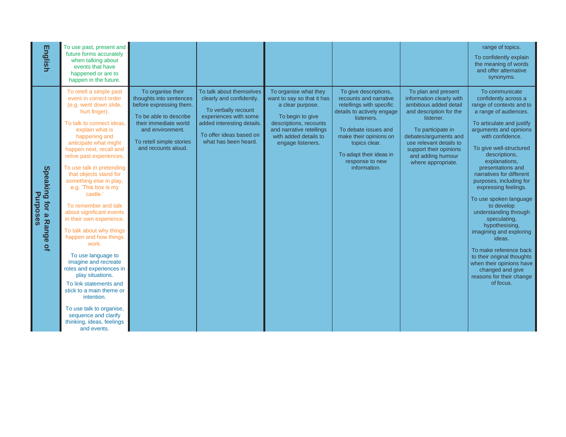| <b>English</b>                                        | To use past, present and<br>future forms accurately<br>when talking about<br>events that have<br>happened or are to<br>happen in the future.                                                                                                                                                                                                                                                                                                                                                                                                                                                                                                                                                                                                                                        |                                                                                                                                                                                                   |                                                                                                                                                                                       |                                                                                                                                                                                                 |                                                                                                                                                                                                                                                          |                                                                                                                                                                                                                                                                 | range of topics.<br>To confidently explain<br>the meaning of words<br>and offer alternative<br>synonyms.                                                                                                                                                                                                                                                                                                                                                                                                                                                                                                                         |
|-------------------------------------------------------|-------------------------------------------------------------------------------------------------------------------------------------------------------------------------------------------------------------------------------------------------------------------------------------------------------------------------------------------------------------------------------------------------------------------------------------------------------------------------------------------------------------------------------------------------------------------------------------------------------------------------------------------------------------------------------------------------------------------------------------------------------------------------------------|---------------------------------------------------------------------------------------------------------------------------------------------------------------------------------------------------|---------------------------------------------------------------------------------------------------------------------------------------------------------------------------------------|-------------------------------------------------------------------------------------------------------------------------------------------------------------------------------------------------|----------------------------------------------------------------------------------------------------------------------------------------------------------------------------------------------------------------------------------------------------------|-----------------------------------------------------------------------------------------------------------------------------------------------------------------------------------------------------------------------------------------------------------------|----------------------------------------------------------------------------------------------------------------------------------------------------------------------------------------------------------------------------------------------------------------------------------------------------------------------------------------------------------------------------------------------------------------------------------------------------------------------------------------------------------------------------------------------------------------------------------------------------------------------------------|
| Speaking for a<br>Purposes<br>Range<br>$\overline{a}$ | To retell a simple past<br>event in correct order<br>(e.g. went down slide,<br>hurt finger).<br>To talk to connect ideas.<br>explain what is<br>happening and<br>anticipate what might<br>happen next, recall and<br>relive past experiences.<br>To use talk in pretending<br>that objects stand for<br>something else in play,<br>e.g. 'This box is my<br>castle.'<br>To remember and talk<br>about significant events<br>in their own experience.<br>To talk about why things<br>happen and how things<br>work.<br>To use language to<br>imagine and recreate<br>roles and experiences in<br>play situations.<br>To link statements and<br>stick to a main theme or<br>intention.<br>To use talk to organise,<br>sequence and clarify<br>thinking, ideas, feelings<br>and events. | To organise their<br>thoughts into sentences<br>before expressing them.<br>To be able to describe<br>their immediate world<br>and environment.<br>To retell simple stories<br>and recounts aloud. | To talk about themselves<br>clearly and confidently.<br>To verbally recount<br>experiences with some<br>added interesting details.<br>To offer ideas based on<br>what has been heard. | To organise what they<br>want to say so that it has<br>a clear purpose.<br>To begin to give<br>descriptions, recounts<br>and narrative retellings<br>with added details to<br>engage listeners. | To give descriptions,<br>recounts and narrative<br>retellings with specific<br>details to actively engage<br>listeners.<br>To debate issues and<br>make their opinions on<br>topics clear.<br>To adapt their ideas in<br>response to new<br>information. | To plan and present<br>information clearly with<br>ambitious added detail<br>and description for the<br>listener.<br>To participate in<br>debates/arguments and<br>use relevant details to<br>support their opinions<br>and adding humour<br>where appropriate. | To communicate<br>confidently across a<br>range of contexts and to<br>a range of audiences.<br>To articulate and justify<br>arguments and opinions<br>with confidence.<br>To give well-structured<br>descriptions,<br>explanations,<br>presentations and<br>narratives for different<br>purposes, including for<br>expressing feelings.<br>To use spoken language<br>to develop<br>understanding through<br>speculating,<br>hypothesising,<br>imagining and exploring<br>ideas.<br>To make reference back<br>to their original thoughts<br>when their opinions have<br>changed and give<br>reasons for their change<br>of focus. |